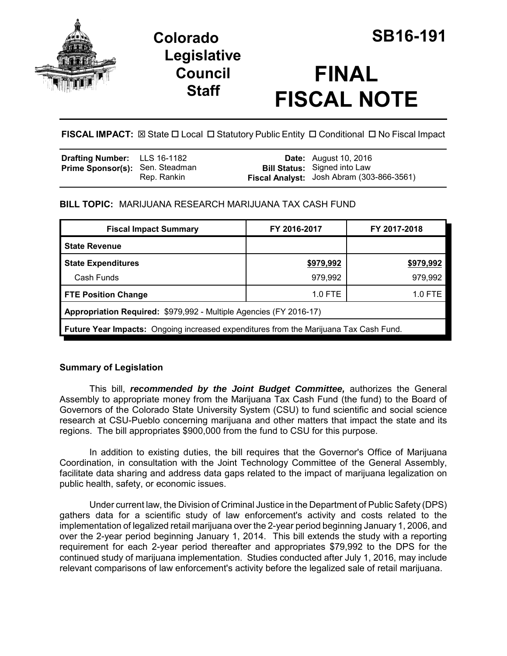

# **Colorado SB16-191 Legislative Council Staff**

# **FINAL FISCAL NOTE**

FISCAL IMPACT:  $\boxtimes$  State  $\Box$  Local  $\Box$  Statutory Public Entity  $\Box$  Conditional  $\Box$  No Fiscal Impact

| <b>Drafting Number:</b> LLS 16-1182    |             | <b>Date:</b> August 10, 2016                                                     |
|----------------------------------------|-------------|----------------------------------------------------------------------------------|
| <b>Prime Sponsor(s):</b> Sen. Steadman | Rep. Rankin | <b>Bill Status:</b> Signed into Law<br>Fiscal Analyst: Josh Abram (303-866-3561) |

### **BILL TOPIC:** MARIJUANA RESEARCH MARIJUANA TAX CASH FUND

| <b>Fiscal Impact Summary</b>                                                          | FY 2016-2017     | FY 2017-2018 |  |  |  |
|---------------------------------------------------------------------------------------|------------------|--------------|--|--|--|
| <b>State Revenue</b>                                                                  |                  |              |  |  |  |
| <b>State Expenditures</b>                                                             | <u>\$979,992</u> | \$979,992    |  |  |  |
| Cash Funds                                                                            | 979,992          | 979,992      |  |  |  |
| <b>FTE Position Change</b>                                                            | $1.0$ FTE        | 1.0 FTE      |  |  |  |
| Appropriation Required: \$979,992 - Multiple Agencies (FY 2016-17)                    |                  |              |  |  |  |
| Future Year Impacts: Ongoing increased expenditures from the Marijuana Tax Cash Fund. |                  |              |  |  |  |

## **Summary of Legislation**

This bill, *recommended by the Joint Budget Committee,* authorizes the General Assembly to appropriate money from the Marijuana Tax Cash Fund (the fund) to the Board of Governors of the Colorado State University System (CSU) to fund scientific and social science research at CSU-Pueblo concerning marijuana and other matters that impact the state and its regions. The bill appropriates \$900,000 from the fund to CSU for this purpose.

In addition to existing duties, the bill requires that the Governor's Office of Marijuana Coordination, in consultation with the Joint Technology Committee of the General Assembly, facilitate data sharing and address data gaps related to the impact of marijuana legalization on public health, safety, or economic issues.

Under current law, the Division of Criminal Justice in the Department of Public Safety (DPS) gathers data for a scientific study of law enforcement's activity and costs related to the implementation of legalized retail marijuana over the 2-year period beginning January 1, 2006, and over the 2-year period beginning January 1, 2014. This bill extends the study with a reporting requirement for each 2-year period thereafter and appropriates \$79,992 to the DPS for the continued study of marijuana implementation. Studies conducted after July 1, 2016, may include relevant comparisons of law enforcement's activity before the legalized sale of retail marijuana.